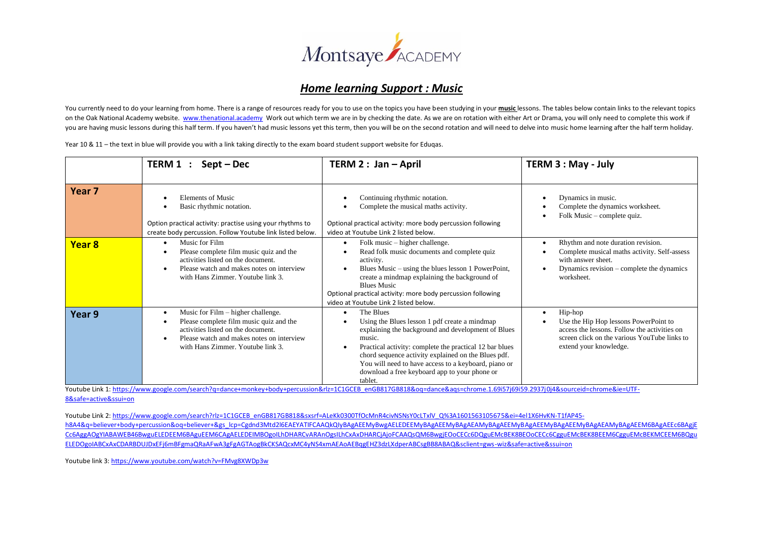

## *Home learning Support : Music*

You currently need to do your learning from home. There is a range of resources ready for you to use on the topics you have been studying in your **music** lessons. The tables below contain links to the relevant topics on the Oak National Academy website. [www.thenational.academy](http://www.thenational.academy/) Work out which term we are in by checking the date. As we are on rotation with either Art or Drama, you will only need to complete this work if you are having music lessons during this half term. If you haven't had music lessons yet this term, then you will be on the second rotation and will need to delve into music home learning after the half term holiday.

Year 10 & 11 – the text in blue will provide you with a link taking directly to the exam board student support website for Eduqas.

|                   | TERM 1 :<br>$Sept - Dec$                                                                                                                                                                              | TERM 2 : Jan - April                                                                                                                                                                                                                                                                                                                                                          | TERM 3 : May - July                                                                                                                                                        |  |  |
|-------------------|-------------------------------------------------------------------------------------------------------------------------------------------------------------------------------------------------------|-------------------------------------------------------------------------------------------------------------------------------------------------------------------------------------------------------------------------------------------------------------------------------------------------------------------------------------------------------------------------------|----------------------------------------------------------------------------------------------------------------------------------------------------------------------------|--|--|
| Year <sub>7</sub> | <b>Elements of Music</b><br>Basic rhythmic notation.<br>Option practical activity: practise using your rhythms to<br>create body percussion. Follow Youtube link listed below.                        | Continuing rhythmic notation.<br>Complete the musical maths activity.<br>Optional practical activity: more body percussion following<br>video at Youtube Link 2 listed below.                                                                                                                                                                                                 | Dynamics in music.<br>Complete the dynamics worksheet.<br>Folk Music – complete quiz.                                                                                      |  |  |
| Year 8            | Music for Film<br>$\bullet$<br>Please complete film music quiz and the<br>activities listed on the document.<br>Please watch and makes notes on interview<br>with Hans Zimmer. Youtube link 3.        | Folk music – higher challenge.<br>$\bullet$<br>Read folk music documents and complete quiz<br>activity.<br>Blues Music – using the blues lesson 1 PowerPoint,<br>create a mindmap explaining the background of<br><b>Blues Music</b><br>Optional practical activity: more body percussion following<br>video at Youtube Link 2 listed below.                                  | Rhythm and note duration revision.<br>Complete musical maths activity. Self-assess<br>with answer sheet.<br>Dynamics revision – complete the dynamics<br>worksheet.        |  |  |
| Year 9            | Music for Film – higher challenge.<br>Please complete film music quiz and the<br>activities listed on the document.<br>Please watch and makes notes on interview<br>with Hans Zimmer. Youtube link 3. | The Blues<br>$\bullet$<br>Using the Blues lesson 1 pdf create a mindmap<br>explaining the background and development of Blues<br>music.<br>Practical activity: complete the practical 12 bar blues<br>chord sequence activity explained on the Blues pdf.<br>You will need to have access to a keyboard, piano or<br>download a free keyboard app to your phone or<br>tablet. | Hip-hop<br>Use the Hip Hop lessons PowerPoint to<br>access the lessons. Follow the activities on<br>screen click on the various YouTube links to<br>extend your knowledge. |  |  |

Youtube Link 1[: https://www.google.com/search?q=dance+monkey+body+percussion&rlz=1C1GCEB\\_enGB817GB818&oq=dance&aqs=chrome.1.69i57j69i59.2937j0j4&sourceid=chrome&ie=UTF-](https://www.google.com/search?q=dance+monkey+body+percussion&rlz=1C1GCEB_enGB817GB818&oq=dance&aqs=chrome.1.69i57j69i59.2937j0j4&sourceid=chrome&ie=UTF-8&safe=active&ssui=on)[8&safe=active&ssui=on](https://www.google.com/search?q=dance+monkey+body+percussion&rlz=1C1GCEB_enGB817GB818&oq=dance&aqs=chrome.1.69i57j69i59.2937j0j4&sourceid=chrome&ie=UTF-8&safe=active&ssui=on)

Youtube Link 2[: https://www.google.com/search?rlz=1C1GCEB\\_enGB817GB818&sxsrf=ALeKk0300TfOcMnR4civNSNsY0cLTxlV\\_Q%3A1601563105675&ei=4el1X6HvKN-T1fAP45](https://www.google.com/search?rlz=1C1GCEB_enGB817GB818&sxsrf=ALeKk0300TfOcMnR4civNSNsY0cLTxlV_Q%3A1601563105675&ei=4el1X6HvKN-T1fAP45-h8A4&q=believer+body+percussion&oq=believer+&gs_lcp=Cgdnd3Mtd2l6EAEYATIFCAAQkQIyBAgAEEMyBwgAELEDEEMyBAgAEEMyBAgAEAMyBAgAEEMyBAgAEEMyBAgAEEMyBAgAEAMyBAgAEEM6BAgAEEc6BAgjECc6AggAOgYIABAWEB46BwguELEDEEM6BAguEEM6CAgAELEDEIMBOgoILhDHARCvARAnOgsILhCxAxDHARCjAjoFCAAQsQM6BwgjEOoCECc6DQguEMcBEK8BEOoCECc6CgguEMcBEK8BEEM6CgguEMcBEKMCEEM6BQguELEDOgoIABCxAxCDARBDUJDxEFj6mBFgmaQRaAFwA3gFgAGTAogBkCKSAQcxMC4yNS4xmAEAoAEBqgEHZ3dzLXdperABCsgBB8ABAQ&sclient=gws-wiz&safe=active&ssui=on) h8A4&q=believer+body+percussion&oq=believer+&gs\_lcp=Cgdnd3Mtd2l6EAEYATIFCAAQkQIvBAgAEEMyBwgAELEDEEMyBAgAEEMyBAgAEEMyBAgAEEMyBAgAEEMyBAgAEEMyBAgAEEMyBAgAEEM6BAgAEEC6BAgiE [Cc6AggAOgYIABAWEB46BwguELEDEEM6BAguEEM6CAgAELEDEIMBOgoILhDHARCvARAnOgsILhCxAxDHARCjAjoFCAAQsQM6BwgjEOoCECc6DQguEMcBEK8BEOoCECc6CgguEMcBEK8BEEM6CgguEMcBEKMCEEM6BQgu](https://www.google.com/search?rlz=1C1GCEB_enGB817GB818&sxsrf=ALeKk0300TfOcMnR4civNSNsY0cLTxlV_Q%3A1601563105675&ei=4el1X6HvKN-T1fAP45-h8A4&q=believer+body+percussion&oq=believer+&gs_lcp=Cgdnd3Mtd2l6EAEYATIFCAAQkQIyBAgAEEMyBwgAELEDEEMyBAgAEEMyBAgAEAMyBAgAEEMyBAgAEEMyBAgAEEMyBAgAEAMyBAgAEEM6BAgAEEc6BAgjECc6AggAOgYIABAWEB46BwguELEDEEM6BAguEEM6CAgAELEDEIMBOgoILhDHARCvARAnOgsILhCxAxDHARCjAjoFCAAQsQM6BwgjEOoCECc6DQguEMcBEK8BEOoCECc6CgguEMcBEK8BEEM6CgguEMcBEKMCEEM6BQguELEDOgoIABCxAxCDARBDUJDxEFj6mBFgmaQRaAFwA3gFgAGTAogBkCKSAQcxMC4yNS4xmAEAoAEBqgEHZ3dzLXdperABCsgBB8ABAQ&sclient=gws-wiz&safe=active&ssui=on) [ELEDOgoIABCxAxCDARBDUJDxEFj6mBFgmaQRaAFwA3gFgAGTAogBkCKSAQcxMC4yNS4xmAEAoAEBqgEHZ3dzLXdperABCsgBB8ABAQ&sclient=gws-wiz&safe=active&ssui=on](https://www.google.com/search?rlz=1C1GCEB_enGB817GB818&sxsrf=ALeKk0300TfOcMnR4civNSNsY0cLTxlV_Q%3A1601563105675&ei=4el1X6HvKN-T1fAP45-h8A4&q=believer+body+percussion&oq=believer+&gs_lcp=Cgdnd3Mtd2l6EAEYATIFCAAQkQIyBAgAEEMyBwgAELEDEEMyBAgAEEMyBAgAEAMyBAgAEEMyBAgAEEMyBAgAEEMyBAgAEAMyBAgAEEM6BAgAEEc6BAgjECc6AggAOgYIABAWEB46BwguELEDEEM6BAguEEM6CAgAELEDEIMBOgoILhDHARCvARAnOgsILhCxAxDHARCjAjoFCAAQsQM6BwgjEOoCECc6DQguEMcBEK8BEOoCECc6CgguEMcBEK8BEEM6CgguEMcBEKMCEEM6BQguELEDOgoIABCxAxCDARBDUJDxEFj6mBFgmaQRaAFwA3gFgAGTAogBkCKSAQcxMC4yNS4xmAEAoAEBqgEHZ3dzLXdperABCsgBB8ABAQ&sclient=gws-wiz&safe=active&ssui=on)

Youtube link 3[: https://www.youtube.com/watch?v=FMvg8XWDp3w](https://www.youtube.com/watch?v=FMvg8XWDp3w)